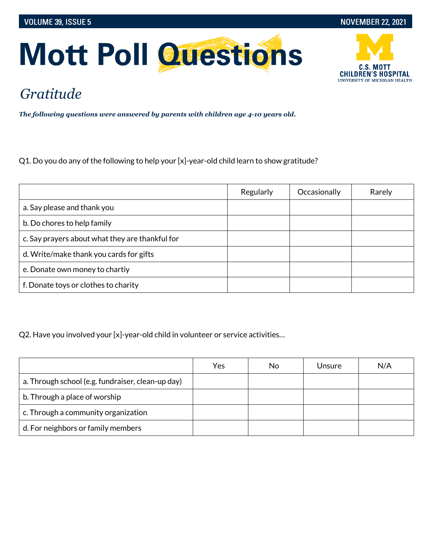



## *Gratitude*

*The following questions were answered by parents with children age 4-10 years old.*

Q1. Do you do any of the following to help your [x]-year-old child learn to show gratitude?

|                                                 | Regularly | Occasionally | Rarely |
|-------------------------------------------------|-----------|--------------|--------|
| a. Say please and thank you                     |           |              |        |
| b. Do chores to help family                     |           |              |        |
| c. Say prayers about what they are thankful for |           |              |        |
| d. Write/make thank you cards for gifts         |           |              |        |
| e. Donate own money to chartiy                  |           |              |        |
| f. Donate toys or clothes to charity            |           |              |        |

Q2. Have you involved your [x]-year-old child in volunteer or service activities…

|                                                   | Yes | No | Unsure | N/A |
|---------------------------------------------------|-----|----|--------|-----|
| a. Through school (e.g. fundraiser, clean-up day) |     |    |        |     |
| b. Through a place of worship                     |     |    |        |     |
| c. Through a community organization               |     |    |        |     |
| d. For neighbors or family members                |     |    |        |     |